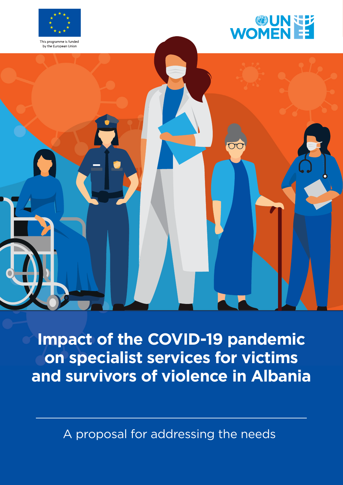



by the European Union



**Impact of the COVID-19 pandemic on specialist services for victims and survivors of violence in Albania**

A proposal for addressing the needs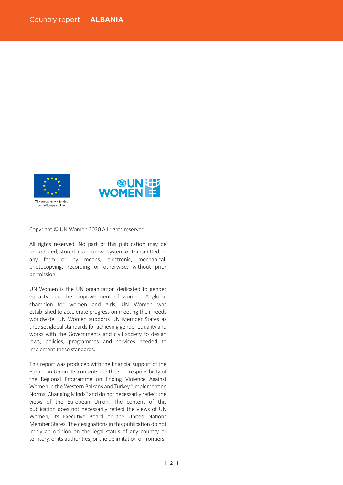

Copyright © UN Women 2020 All rights reserved.

All rights reserved. No part of this publication may be reproduced, stored in a retrieval system or transmitted, in any form or by means, electronic, mechanical, photocopying, recording or otherwise, without prior permission.

UN Women is the UN organization dedicated to gender equality and the empowerment of women. A global champion for women and girls, UN Women was established to accelerate progress on meeting their needs worldwide. UN Women supports UN Member States as they set global standards for achieving gender equality and works with the Governments and civil society to design laws, policies, programmes and services needed to implement these standards.

This report was produced with the financial support of the European Union. Its contents are the sole responsibility of the Regional Programme on Ending Violence Against Women in the Western Balkans and Turkey "Implementing Norms, Changing Minds" and do not necessarily reflect the views of the European Union. The content of this publication does not necessarily reflect the views of UN Women, its Executive Board or the United Nations Member States. The designations in this publication do not imply an opinion on the legal status of any country or territory, or its authorities, or the delimitation of frontiers.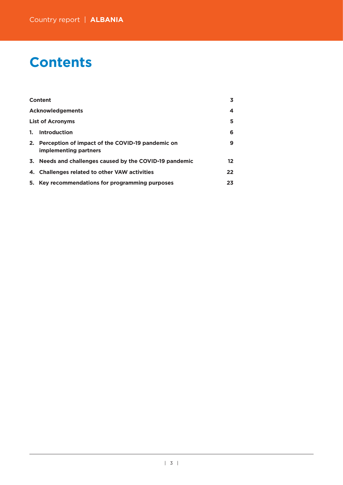# **Contents**

|         | Content                                                                      | 3.      |
|---------|------------------------------------------------------------------------------|---------|
|         | <b>Acknowledgements</b>                                                      | 4       |
|         | <b>List of Acronyms</b>                                                      | 5       |
| $1_{-}$ | <b>Introduction</b>                                                          | 6       |
|         | 2. Perception of impact of the COVID-19 pandemic on<br>implementing partners | 9       |
|         | 3. Needs and challenges caused by the COVID-19 pandemic                      | $12 \,$ |
|         | 4. Challenges related to other VAW activities                                | $22 \,$ |
|         | 5. Key recommendations for programming purposes                              | 23      |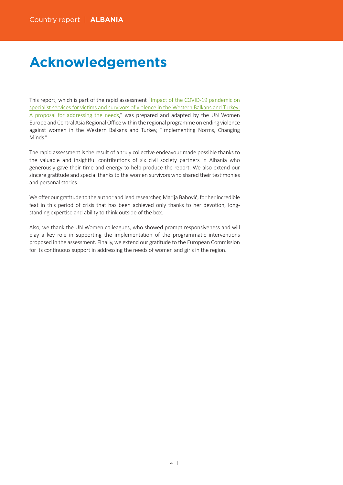# **Acknowledgements**

This report, which is part of the rapid assessment"[Impact of the COVID-19 pandemic on](https://eca.unwomen.org/en/digital-library/publications/2020/05/impact-of-the-covid-19-pandemic-on-specialist-services-for-victims-and-survivors-of-violence) specialist services for victims and survivors of violence in the Western Balkans and Turkey: [A proposal for addressing the needs,](https://eca.unwomen.org/en/digital-library/publications/2020/05/impact-of-the-covid-19-pandemic-on-specialist-services-for-victims-and-survivors-of-violence)" was prepared and adapted by the UN Women Europe and Central Asia Regional Office within the regional programme on ending violence against women in the Western Balkans and Turkey, "Implementing Norms, Changing Minds."

The rapid assessment is the result of a truly collective endeavour made possible thanks to the valuable and insightful contributions of six civil society partners in Albania who generously gave their time and energy to help produce the report. We also extend our sincere gratitude and special thanks to the women survivors who shared their testimonies and personal stories.

We offer our gratitude to the author and lead researcher, Marija Babović, for her incredible feat in this period of crisis that has been achieved only thanks to her devotion, longstanding expertise and ability to think outside of the box.

Also, we thank the UN Women colleagues, who showed prompt responsiveness and will play a key role in supporting the implementation of the programmatic interventions proposed in the assessment. Finally, we extend our gratitude to the European Commission for its continuous support in addressing the needs of women and girls in the region.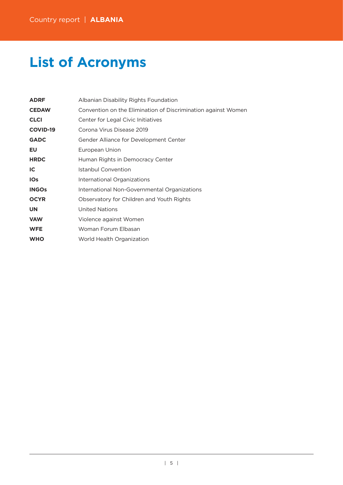# **List of Acronyms**

| <b>ADRF</b>     | Albanian Disability Rights Foundation                         |
|-----------------|---------------------------------------------------------------|
| <b>CEDAW</b>    | Convention on the Elimination of Discrimination against Women |
| <b>CLCI</b>     | Center for Legal Civic Initiatives                            |
| <b>COVID-19</b> | Corona Virus Disease 2019                                     |
| <b>GADC</b>     | Gender Alliance for Development Center                        |
| EU              | European Union                                                |
| <b>HRDC</b>     | Human Rights in Democracy Center                              |
| IC.             | Istanbul Convention                                           |
| <b>IOs</b>      | International Organizations                                   |
| <b>INGOs</b>    | International Non-Governmental Organizations                  |
| <b>OCYR</b>     | Observatory for Children and Youth Rights                     |
| <b>UN</b>       | United Nations                                                |
| <b>VAW</b>      | Violence against Women                                        |
| <b>WFE</b>      | Woman Forum Elbasan                                           |
| <b>WHO</b>      | World Health Organization                                     |
|                 |                                                               |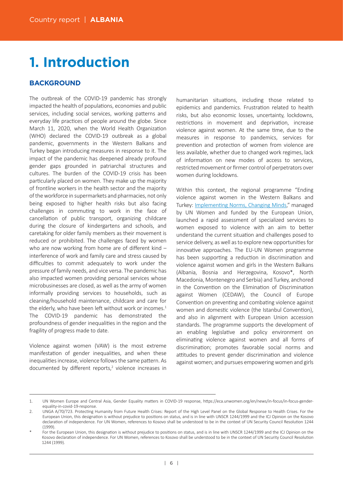# **1. Introduction**

# **BACKGROUND**

The outbreak of the COVID-19 pandemic has strongly impacted the health of populations, economies and public services, including social services, working patterns and everyday life practices of people around the globe. Since March 11, 2020, when the World Health Organization (WHO) declared the COVID-19 outbreak as a global pandemic, governments in the Western Balkans and Turkey began introducing measures in response to it. The impact of the pandemic has deepened already profound gender gaps grounded in patriarchal structures and cultures. The burden of the COVID-19 crisis has been particularly placed on women. They make up the majority of frontline workers in the health sector and the majority of the workforce in supermarkets and pharmacies, not only being exposed to higher health risks but also facing challenges in commuting to work in the face of cancellation of public transport, organizing childcare during the closure of kindergartens and schools, and caretaking for older family members as their movement is reduced or prohibited. The challenges faced by women who are now working from home are of different kind interference of work and family care and stress caused by difficulties to commit adequately to work under the pressure of family needs, and vice versa. The pandemic has also impacted women providing personal services whose microbusinesses are closed, as well as the army of women informally providing services to households, such as cleaning/household maintenance, childcare and care for the elderly, who have been left without work or incomes. $1$ The COVID-19 pandemic has demonstrated the profoundness of gender inequalities in the region and the fragility of progress made to date.

Violence against women (VAW) is the most extreme manifestation of gender inequalities, and when these inequalities increase, violence follows the same pattern. As documented by different reports,<sup>2</sup> violence increases in

humanitarian situations, including those related to epidemics and pandemics. Frustration related to health risks, but also economic losses, uncertainty, lockdowns, restrictions in movement and deprivation, increase violence against women. At the same time, due to the measures in response to pandemics, services for prevention and protection of women from violence are less available, whether due to changed work regimes, lack of information on new modes of access to services, restricted movement or firmer control of perpetrators over women during lockdowns.

Within this context, the regional programme "Ending violence against women in the Western Balkans and Turkey: Implementing Norms, Changing Minds," managed by UN Women and funded by the European Union, launched a rapid assessment of specialized services to women exposed to violence with an aim to better understand the current situation and challenges posed to service delivery, as well as to explore new opportunities for innovative approaches. The EU-UN Women programme has been supporting a reduction in discrimination and violence against women and girls in the Western Balkans (Albania, Bosnia and Herzegovina, Kosovo\*, North Macedonia, Montenegro and Serbia) and Turkey, anchored in the Convention on the Elimination of Discrimination against Women (CEDAW), the Council of Europe Convention on preventing and combating violence against women and domestic violence (the Istanbul Convention), and also in alignment with European Union accession standards. The programme supports the development of an enabling legislative and policy environment on eliminating violence against women and all forms of discrimination; promotes favorable social norms and attitudes to prevent gender discrimination and violence against women; and pursues empowering women and girls

<sup>1.</sup> UN Women Europe and Central Asia, Gender Equality matters in COVID-19 response, https://eca.unwomen.org/en/news/in-focus/in-focus-gender[equality-in-covid-19-response.](https://eca.unwomen.org/en/news/in-focus/in-focus-gender-equality-in-covid-19-response)

<sup>2.</sup> UNGA A/70/723. Protecting Humanity from Future Health Crises: Report of the High Level Panel on the Global Response to Health Crises. For the European Union, this designation is without prejudice to positions on status, and is in line with UNSCR 1244/1999 and the ICJ Opinion on the Kosovo declaration of independence. For UN Women, references to Kosovo shall be understood to be in the context of UN Security Council Resolution 1244 (1999).

For the European Union, this designation is without prejudice to positions on status, and is in line with UNSCR 1244/1999 and the ICJ Opinion on the Kosovo declaration of independence. For UN Women, references to Kosovo shall be understood to be in the context of UN Security Council Resolution 1244 (1999).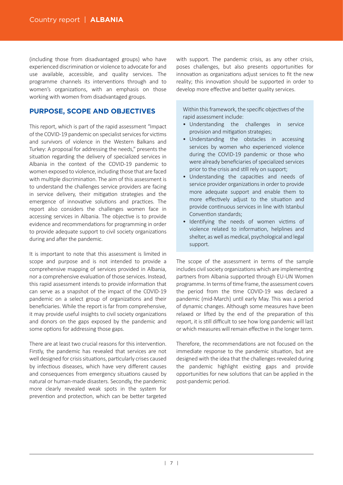(including those from disadvantaged groups) who have experienced discrimination or violence to advocate for and use available, accessible, and quality services. The programme channels its interventions through and to women's organizations, with an emphasis on those working with women from disadvantaged groups.

## **PURPOSE, SCOPE AND OBJECTIVES**

This report, which is part of the rapid assessment "Impact of the COVID-19 pandemic on specialist services for vic�ms and survivors of violence in the Western Balkans and Turkey: A proposal for addressing the needs," presents the situation regarding the delivery of specialized services in Albania in the context of the COVID-19 pandemic to women exposed to violence, including those that are faced with multiple discrimination. The aim of this assessment is to understand the challenges service providers are facing in service delivery, their mitigation strategies and the emergence of innovative solutions and practices. The report also considers the challenges women face in accessing services in Albania. The objective is to provide evidence and recommendations for programming in order to provide adequate support to civil society organizations during and after the pandemic.

It is important to note that this assessment is limited in scope and purpose and is not intended to provide a comprehensive mapping of services provided in Albania, nor a comprehensive evaluation of those services. Instead, this rapid assessment intends to provide information that can serve as a snapshot of the impact of the COVID-19 pandemic on a select group of organizations and their beneficiaries. While the report is far from comprehensive, it may provide useful insights to civil society organizations and donors on the gaps exposed by the pandemic and some options for addressing those gaps.

There are at least two crucial reasons for this intervention. Firstly, the pandemic has revealed that services are not well designed for crisis situations, particularly crises caused by infectious diseases, which have very different causes and consequences from emergency situations caused by natural or human-made disasters. Secondly, the pandemic more clearly revealed weak spots in the system for prevention and protection, which can be better targeted

with support. The pandemic crisis, as any other crisis, poses challenges, but also presents opportunities for innovation as organizations adjust services to fit the new reality; this innovation should be supported in order to develop more effective and better quality services.

Within this framework, the specific objectives of the rapid assessment include:

- Understanding the challenges in service provision and mitigation strategies;
- Understanding the obstacles in accessing services by women who experienced violence during the COVID-19 pandemic or those who were already beneficiaries of specialized services prior to the crisis and still rely on support:
- Understanding the capaci�es and needs of service provider organizations in order to provide more adequate support and enable them to more effectively adjust to the situation and provide continuous services in line with Istanbul Convention standards;
- Identifying the needs of women victims of violence related to information, helplines and shelter, as well as medical, psychological and legal support.

The scope of the assessment in terms of the sample includes civil society organizations which are implementing partners from Albania supported through EU-UN Women programme. In terms of time frame, the assessment covers the period from the time COVID-19 was declared a pandemic (mid-March) until early May. This was a period of dynamic changes. Although some measures have been relaxed or lifted by the end of the preparation of this report, it is still difficult to see how long pandemic will last or which measures will remain effective in the longer term.

Therefore, the recommendations are not focused on the immediate response to the pandemic situation, but are designed with the idea that the challenges revealed during the pandemic highlight existing gaps and provide opportunities for new solutions that can be applied in the post-pandemic period.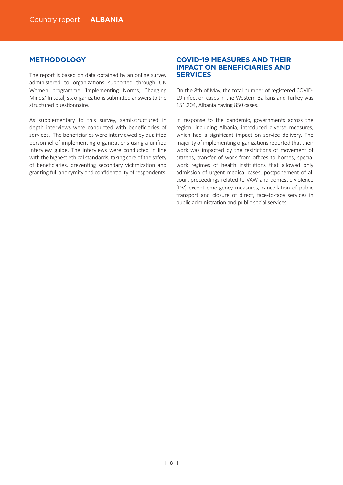## **METHODOLOGY**

The report is based on data obtained by an online survey administered to organizations supported through UN Women programme 'Implementing Norms, Changing Minds.' In total, six organizations submitted answers to the structured questionnaire.

As supplementary to this survey, semi-structured in depth interviews were conducted with beneficiaries of services. The beneficiaries were interviewed by qualified personnel of implementing organizations using a unified interview guide. The interviews were conducted in line with the highest ethical standards, taking care of the safety of beneficiaries, preventing secondary victimization and granting full anonymity and confidentiality of respondents.

## **COVID-19 MEASURES AND THEIR IMPACT ON BENEFICIARIES AND SERVICES**

On the 8th of May, the total number of registered COVID-19 infection cases in the Western Balkans and Turkey was 151,204, Albania having 850 cases.

In response to the pandemic, governments across the region, including Albania, introduced diverse measures, which had a significant impact on service delivery. The majority of implementing organizations reported that their work was impacted by the restrictions of movement of citizens, transfer of work from offices to homes, special work regimes of health institutions that allowed only admission of urgent medical cases, postponement of all court proceedings related to VAW and domestic violence (DV) except emergency measures, cancellation of public transport and closure of direct, face-to-face services in public administration and public social services.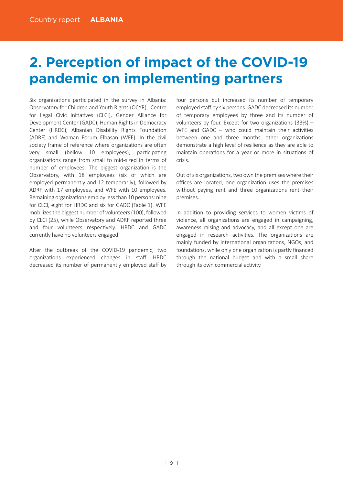# **2. Perception of impact of the COVID-19 pandemic on implementing partners**

Six organizations participated in the survey in Albania: Observatory for Children and Youth Rights (OCYR), Centre for Legal Civic Initiatives (CLCI), Gender Alliance for Development Center (GADC), Human Rights in Democracy Center (HRDC), Albanian Disability Rights Foundation (ADRF) and Woman Forum Elbasan (WFE). In the civil society frame of reference where organizations are often very small (bellow 10 employees), participating organizations range from small to mid-sized in terms of number of employees. The biggest organization is the Observatory, with 18 employees (six of which are employed permanently and 12 temporarily), followed by ADRF with 17 employees, and WFE with 10 employees. Remaining organizations employ less than 10 persons: nine for CLCI, eight for HRDC and six for GADC (Table 1). WFE mobilizes the biggest number of volunteers (100), followed by CLCI (25), while Observatory and ADRF reported three and four volunteers respectively. HRDC and GADC currently have no volunteers engaged.

After the outbreak of the COVID-19 pandemic, two organizations experienced changes in staff. HRDC decreased its number of permanently employed staff by

four persons but increased its number of temporary employed staff by six persons. GADC decreased its number of temporary employees by three and its number of volunteers by four. Except for two organizations  $(33%)$  – WFE and GADC – who could maintain their activities between one and three months, other organizations demonstrate a high level of resilience as they are able to maintain operations for a year or more in situations of crisis.

Out of six organizations, two own the premises where their offices are located, one organization uses the premises without paying rent and three organizations rent their premises.

In addition to providing services to women victims of violence, all organizations are engaged in campaigning, awareness raising and advocacy, and all except one are engaged in research activities. The organizations are mainly funded by international organizations, NGOs, and foundations, while only one organization is partly financed through the national budget and with a small share through its own commercial activity.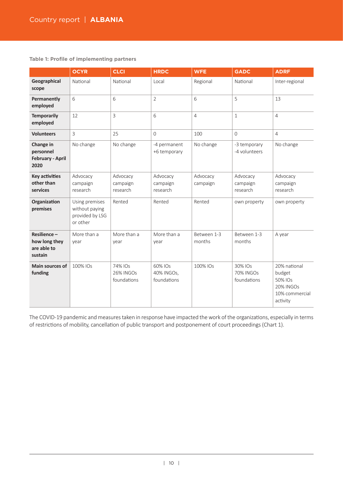**Table 1: Profile of implementing partners**

|                                                           | <b>OCYR</b>                                                     | <b>CLCI</b>                                | <b>HRDC</b>                          | <b>WFE</b>            | <b>GADC</b>                                | <b>ADRF</b>                                                                         |
|-----------------------------------------------------------|-----------------------------------------------------------------|--------------------------------------------|--------------------------------------|-----------------------|--------------------------------------------|-------------------------------------------------------------------------------------|
| Geographical<br>scope                                     | National                                                        | National                                   | Local                                | Regional              | National                                   | Inter-regional                                                                      |
| Permanently<br>employed                                   | 6                                                               | 6                                          | $\overline{2}$                       | 6                     | 5                                          | 13                                                                                  |
| <b>Temporarily</b><br>employed                            | 12                                                              | 3                                          | 6                                    | $\overline{4}$        | 1                                          | $\overline{4}$                                                                      |
| <b>Volunteers</b>                                         | 3                                                               | 25                                         | $\Omega$                             | 100                   | $\Omega$                                   | 4                                                                                   |
| Change in<br>personnel<br><b>February - April</b><br>2020 | No change                                                       | No change                                  | -4 permanent<br>+6 temporary         | No change             | -3 temporary<br>-4 volunteers              | No change                                                                           |
| <b>Key activities</b><br>other than<br>services           | Advocacy<br>campaign<br>research                                | Advocacy<br>campaign<br>research           | Advocacy<br>campaign<br>research     | Advocacy<br>campaign  | Advocacy<br>campaign<br>research           | Advocacy<br>campaign<br>research                                                    |
| Organization<br>premises                                  | Using premises<br>without paying<br>provided by LSG<br>or other | Rented                                     | Rented                               | Rented                | own property                               | own property                                                                        |
| Resilience-<br>how long they<br>are able to<br>sustain    | More than a<br>year                                             | More than a<br>year                        | More than a<br>year                  | Between 1-3<br>months | Between 1-3<br>months                      | A year                                                                              |
| <b>Main sources of</b><br>funding                         | 100% IOs                                                        | 74% IOs<br><b>26% INGOs</b><br>foundations | 60% IOs<br>40% INGOs.<br>foundations | 100% IOs              | 30% IOs<br><b>70% INGOs</b><br>foundations | 20% national<br>budget<br>50% IOs<br><b>20% INGOs</b><br>10% commercial<br>activity |

The COVID-19 pandemic and measures taken in response have impacted the work of the organizations, especially in terms of restrictions of mobility, cancellation of public transport and postponement of court proceedings (Chart 1).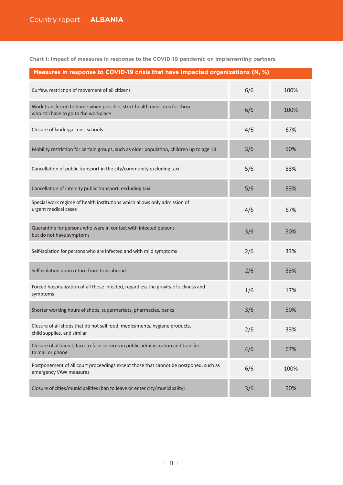**Chart 1: Impact of measures in response to the COVID-19 pandemic on implementing partners**

| Measures in response to COVID-19 crisis that have impacted organizations (N, %)                                   |     |      |  |  |
|-------------------------------------------------------------------------------------------------------------------|-----|------|--|--|
| Curfew, restriction of movement of all citizens                                                                   | 6/6 | 100% |  |  |
| Work transferred to home when possible; strict health measures for those<br>who still have to go to the workplace | 6/6 | 100% |  |  |
| Closure of kindergartens, schools                                                                                 | 4/6 | 67%  |  |  |
| Mobility restriction for certain groups, such as older population, children up to age 18                          | 3/6 | 50%  |  |  |
| Cancellation of public transport in the city/community excluding taxi                                             | 5/6 | 83%  |  |  |
| Cancellation of intercity public transport, excluding taxi                                                        | 5/6 | 83%  |  |  |
| Special work regime of health institutions which allows only admission of<br>urgent medical cases                 | 4/6 | 67%  |  |  |
| Quarantine for persons who were in contact with infected persons<br>but do not have symptoms                      | 3/6 | 50%  |  |  |
| Self-isolation for persons who are infected and with mild symptoms                                                | 2/6 | 33%  |  |  |
| Self-isolation upon return from trips abroad                                                                      | 2/6 | 33%  |  |  |
| Forced hospitalization of all those infected, regardless the gravity of sickness and<br>symptoms                  | 1/6 | 17%  |  |  |
| Shorter working hours of shops, supermarkets, pharmacies, banks                                                   | 3/6 | 50%  |  |  |
| Closure of all shops that do not sell food, medicaments, hygiene products,<br>child supplies, and similar         | 2/6 | 33%  |  |  |
| Closure of all direct, face-to-face services in public administration and transfer<br>to mail or phone            | 4/6 | 67%  |  |  |
| Postponement of all court proceedings except those that cannot be postponed, such as<br>emergency VAW measures    | 6/6 | 100% |  |  |
| Closure of cities/municipalities (ban to leave or enter city/municipality)                                        | 3/6 | 50%  |  |  |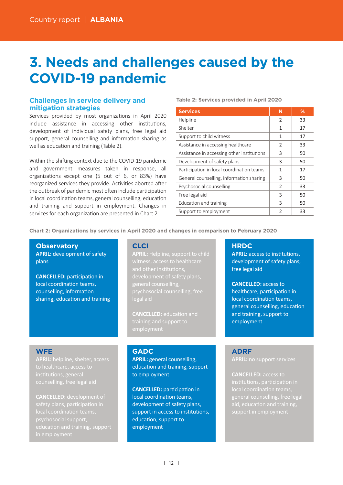# **3. Needs and challenges caused by the COVID-19 pandemic**

## **Challenges in service delivery and mitigation strategies**

Services provided by most organizations in April 2020 include assistance in accessing other institutions, development of individual safety plans, free legal aid support, general counselling and information sharing as well as education and training (Table 2).

Within the shifting context due to the COVID-19 pandemic and government measures taken in response, all organizations except one (5 out of 6, or 83%) have reorganized services they provide. Activities aborted after the outbreak of pandemic most often include participation in local coordination teams, general counselling, education and training and support in employment. Changes in services for each organization are presented in Chart 2.

#### **Table 2: Services provided in April 2020**

| <b>Services</b>                            | N              | %  |
|--------------------------------------------|----------------|----|
| Helpline                                   | 2              | 33 |
| Shelter                                    | 1              | 17 |
| Support to child witness                   | 1              | 17 |
| Assistance in accessing healthcare         | 2              | 33 |
| Assistance in accessing other institutions | 3              | 50 |
| Development of safety plans                | 3              | 50 |
| Participation in local coordination teams  | 1              | 17 |
| General counselling, information sharing   | 3              | 50 |
| Psychosocial counselling                   | $\mathfrak{D}$ | 33 |
| Free legal aid                             | 3              | 50 |
| Education and training                     | 3              | 50 |
| Support to employment                      | 2              | 33 |

**Chart 2: Organizations by services in April 2020 and changes in comparison to February 2020**

#### **Observatory**

**APRIL:** development of safety plans

**CANCELLED:** participation in local coordination teams, counselling, information sharing, education and training

#### **CLCI**

**APRIL:** Helpline, support to child development of safety plans, general counselling, legal aid

**CANCELLED:** education and training and support to

### **WFE**

**APRIL:** helpline, shelter, access to healthcare, access to

**CANCELLED:** development of psychosocial support,

## **GADC**

**APRIL:** general counselling, education and training, support to employment

**CANCELLED:** participation in local coordination teams, development of safety plans, support in access to institutions, education, support to employment

### **HRDC**

**APRIL:** access to institutions, development of safety plans, free legal aid

**CANCELLED:** access to healthcare, participation in local coordination teams, general counselling, education and training, support to employment

## **ADRF**

**APRIL:** no support services

**CANCELLED:** access to local coordination teams, general counselling, free legal support in employment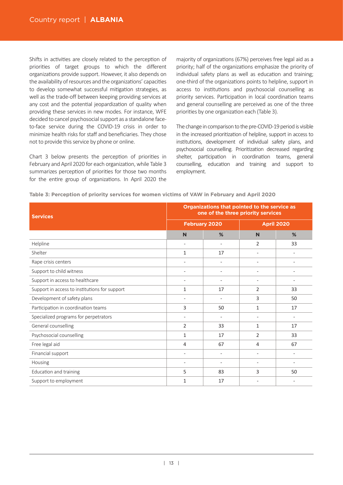Shifts in activities are closely related to the perception of priorities of target groups to which the different organizations provide support. However, it also depends on the availability of resources and the organizations' capacities to develop somewhat successful mitigation strategies, as well as the trade-off between keeping providing services at any cost and the potential jeopardization of quality when providing these services in new modes. For instance, WFE decided to cancel psychosocial support as a standalone faceto-face service during the COVID-19 crisis in order to minimize health risks for staff and beneficiaries. They chose not to provide this service by phone or online.

Chart 3 below presents the perception of priorities in February and April 2020 for each organization, while Table 3 summarizes perception of priorities for those two months for the entire group of organizations. In April 2020 the

majority of organizations (67%) perceives free legal aid as a priority; half of the organizations emphasize the priority of individual safety plans as well as education and training; one-third of the organizations points to helpline, support in access to institutions and psychosocial counselling as priority services. Participation in local coordination teams and general counselling are perceived as one of the three priorities by one organization each (Table 3).

The change in comparison to the pre-COVID-19 period is visible in the increased prioritization of helpline, support in access to institutions, development of individual safety plans, and psychosocial counselling. Prioritization decreased regarding shelter, participation in coordination teams, general counselling, education and training and support to employment.

| <b>Services</b>                               | Organizations that pointed to the service as<br>one of the three priority services |                          |                          |                   |
|-----------------------------------------------|------------------------------------------------------------------------------------|--------------------------|--------------------------|-------------------|
|                                               |                                                                                    | <b>February 2020</b>     |                          | <b>April 2020</b> |
|                                               | N                                                                                  | %                        | N                        | %                 |
| Helpline                                      |                                                                                    | $\overline{\phantom{a}}$ | $\overline{2}$           | 33                |
| Shelter                                       | 1                                                                                  | 17                       | $\overline{\phantom{a}}$ |                   |
| Rape crisis centers                           | $\overline{\phantom{a}}$                                                           | $\overline{\phantom{a}}$ | $\overline{\phantom{a}}$ | $\overline{a}$    |
| Support to child witness                      | $\overline{\phantom{a}}$                                                           | $\overline{\phantom{a}}$ | $\overline{\phantom{a}}$ |                   |
| Support in access to healthcare               | $\overline{\phantom{a}}$                                                           | $\overline{\phantom{a}}$ | $\overline{\phantom{a}}$ |                   |
| Support in access to institutions for support | 1                                                                                  | 17                       | 2                        | 33                |
| Development of safety plans                   |                                                                                    | $\overline{\phantom{a}}$ | 3                        | 50                |
| Participation in coordination teams           | 3                                                                                  | 50                       | 1                        | 17                |
| Specialized programs for perpetrators         | $\overline{\phantom{a}}$                                                           | $\overline{\phantom{a}}$ | $\overline{\phantom{a}}$ |                   |
| General counselling                           | 2                                                                                  | 33                       | 1                        | 17                |
| Psychosocial counselling                      | 1                                                                                  | 17                       | 2                        | 33                |
| Free legal aid                                | 4                                                                                  | 67                       | $\overline{4}$           | 67                |
| Financial support                             | $\overline{\phantom{a}}$                                                           | $\overline{\phantom{a}}$ | $\overline{\phantom{a}}$ |                   |
| Housing                                       | $\overline{\phantom{a}}$                                                           | $\overline{\phantom{a}}$ | $\overline{\phantom{a}}$ | $\overline{a}$    |
| Education and training                        | 5                                                                                  | 83                       | 3                        | 50                |
| Support to employment                         | $\mathbf{1}$                                                                       | 17                       |                          |                   |

#### **Table 3: Perception of priority services for women victims of VAW in February and April 2020**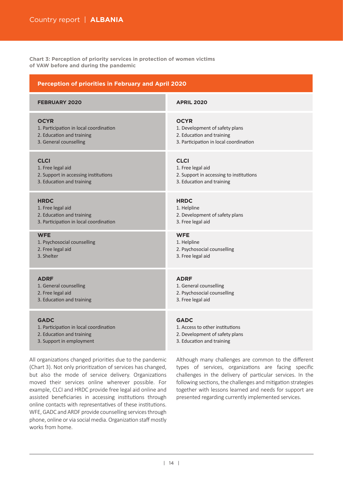**Chart 3: Perception of priority services in protection of women victims of VAW before and during the pandemic**

| <b>Perception of priorities in February and April 2020</b> |                                         |  |  |  |
|------------------------------------------------------------|-----------------------------------------|--|--|--|
| <b>FEBRUARY 2020</b>                                       | <b>APRIL 2020</b>                       |  |  |  |
| <b>OCYR</b>                                                | <b>OCYR</b>                             |  |  |  |
| 1. Participation in local coordination                     | 1. Development of safety plans          |  |  |  |
| 2. Education and training                                  | 2. Education and training               |  |  |  |
| 3. General counselling                                     | 3. Participation in local coordination  |  |  |  |
| <b>CLCI</b>                                                | <b>CLCI</b>                             |  |  |  |
| 1. Free legal aid                                          | 1. Free legal aid                       |  |  |  |
| 2. Support in accessing institutions                       | 2. Support in accessing to institutions |  |  |  |
| 3. Education and training                                  | 3. Education and training               |  |  |  |
| <b>HRDC</b>                                                | <b>HRDC</b>                             |  |  |  |
| 1. Free legal aid                                          | 1. Helpline                             |  |  |  |
| 2. Education and training                                  | 2. Development of safety plans          |  |  |  |
| 3. Participation in local coordination                     | 3. Free legal aid                       |  |  |  |
| <b>WFE</b>                                                 | <b>WFE</b>                              |  |  |  |
| 1. Psychosocial counselling                                | 1. Helpline                             |  |  |  |
| 2. Free legal aid                                          | 2. Psychosocial counselling             |  |  |  |
| 3. Shelter                                                 | 3. Free legal aid                       |  |  |  |
| <b>ADRF</b>                                                | <b>ADRF</b>                             |  |  |  |
| 1. General counselling                                     | 1. General counselling                  |  |  |  |
| 2. Free legal aid                                          | 2. Psychosocial counselling             |  |  |  |
| 3. Education and training                                  | 3. Free legal aid                       |  |  |  |
| <b>GADC</b>                                                | <b>GADC</b>                             |  |  |  |
| 1. Participation in local coordination                     | 1. Access to other institutions         |  |  |  |
| 2. Education and training                                  | 2. Development of safety plans          |  |  |  |
| 3. Support in employment                                   | 3. Education and training               |  |  |  |

All organizations changed priorities due to the pandemic (Chart 3). Not only prioritization of services has changed, but also the mode of service delivery. Organizations moved their services online wherever possible. For example, CLCI and HRDC provide free legal aid online and assisted beneficiaries in accessing institutions through online contacts with representatives of these institutions. WFE, GADC and ARDF provide counselling services through phone, online or via social media. Organization staff mostly works from home.

Although many challenges are common to the different types of services, organizations are facing specific challenges in the delivery of particular services. In the following sections, the challenges and mitigation strategies together with lessons learned and needs for support are presented regarding currently implemented services.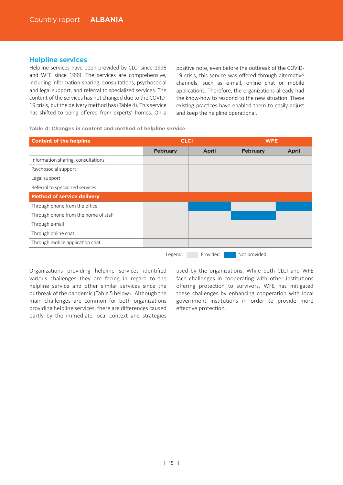## **Helpline services**

Helpline services have been provided by CLCI since 1996 and WFE since 1999. The services are comprehensive, including information sharing, consultations, psychosocial and legal support, and referral to specialized services. The content of the services has not changed due to the COVID-19 crisis, but the delivery method has (Table 4). This service has shifted to being offered from experts' homes. On a positive note, even before the outbreak of the COVID-19 crisis, this service was offered through alternative channels, such as e-mail, online chat or mobile applications. Therefore, the organizations already had the know-how to respond to the new situation. These existing practices have enabled them to easily adjust and keep the helpline operational.

**Table 4: Changes in content and method of helpline service**

| <b>Content of the helpline</b>       | <b>CLCI</b>     |              | <b>WFE</b>      |              |
|--------------------------------------|-----------------|--------------|-----------------|--------------|
|                                      | <b>February</b> | <b>April</b> | <b>February</b> | <b>April</b> |
| Information sharing, consultations   |                 |              |                 |              |
| Psychosocial support                 |                 |              |                 |              |
| Legal support                        |                 |              |                 |              |
| Referral to specialized services     |                 |              |                 |              |
| <b>Method of service delivery</b>    |                 |              |                 |              |
| Through phone from the office        |                 |              |                 |              |
| Through phone from the home of staff |                 |              |                 |              |
| Through e-mail                       |                 |              |                 |              |
| Through online chat                  |                 |              |                 |              |
| Through mobile application chat      |                 |              |                 |              |
|                                      |                 |              | $\blacksquare$  |              |

Legend: Provided Not provided

Organizations providing helpline services identified various challenges they are facing in regard to the helpline service and other similar services since the outbreak of the pandemic (Table 5 below). Although the main challenges are common for both organizations providing helpline services, there are differences caused partly by the immediate local context and strategies

used by the organizations. While both CLCI and WFE face challenges in cooperating with other institutions offering protection to survivors, WFE has mitigated these challenges by enhancing cooperation with local government institutions in order to provide more effective protection.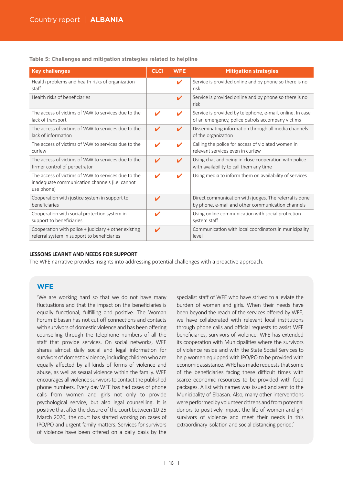**Table 5: Challenges and mitigation strategies related to helpline**

| <b>Key challenges</b>                                                                                               | <b>CLCI</b>                | <b>WFE</b>                 | <b>Mitigation strategies</b>                                                                                   |
|---------------------------------------------------------------------------------------------------------------------|----------------------------|----------------------------|----------------------------------------------------------------------------------------------------------------|
| Health problems and health risks of organization<br>staff                                                           |                            | V                          | Service is provided online and by phone so there is no<br>risk                                                 |
| Health risks of beneficiaries                                                                                       |                            | ✔                          | Service is provided online and by phone so there is no<br>risk                                                 |
| The access of victims of VAW to services due to the<br>lack of transport                                            | ✔                          | V                          | Service is provided by telephone, e-mail, online. In case<br>of an emergency, police patrols accompany victims |
| The access of victims of VAW to services due to the<br>lack of information                                          | $\boldsymbol{\mathscr{L}}$ | ✔                          | Disseminating information through all media channels<br>of the organization                                    |
| The access of victims of VAW to services due to the<br>curfew                                                       | $\boldsymbol{\mathscr{L}}$ | V                          | Calling the police for access of violated women in<br>relevant services even in curfew                         |
| The access of victims of VAW to services due to the<br>firmer control of perpetrator                                | $\boldsymbol{\mathscr{C}}$ | $\boldsymbol{\mathscr{L}}$ | Using chat and being in close cooperation with police<br>with availability to call them any time               |
| The access of victims of VAW to services due to the<br>inadequate communication channels (i.e. cannot<br>use phone) | $\boldsymbol{\mathscr{C}}$ | V                          | Using media to inform them on availability of services                                                         |
| Cooperation with justice system in support to<br>beneficiaries                                                      | ✔                          |                            | Direct communication with judges. The referral is done<br>by phone, e-mail and other communication channels    |
| Cooperation with social protection system in<br>support to beneficiaries                                            | $\boldsymbol{\mathscr{L}}$ |                            | Using online communication with social protection<br>system staff                                              |
| Cooperation with police $+$ judiciary $+$ other existing<br>referral system in support to beneficiaries             | ✔                          |                            | Communication with local coordinators in municipality<br>level                                                 |

#### **LESSONS LEARNT AND NEEDS FOR SUPPORT**

The WFE narrative provides insights into addressing potential challenges with a proactive approach.

## **WFE**

'We are working hard so that we do not have many fluctuations and that the impact on the beneficiaries is equally functional, fulfilling and positive. The Woman Forum Elbasan has not cut off connections and contacts with survivors of domestic violence and has been offering counselling through the telephone numbers of all the staff that provide services. On social networks, WFE shares almost daily social and legal information for survivors of domestic violence, including children who are equally affected by all kinds of forms of violence and abuse, as well as sexual violence within the family. WFE encourages all violence survivors to contact the published phone numbers. Every day WFE has had cases of phone calls from women and girls not only to provide psychological service, but also legal counselling. It is positive that after the closure of the court between 10-25 March 2020, the court has started working on cases of IPO/PO and urgent family matters. Services for survivors of violence have been offered on a daily basis by the

specialist staff of WFE who have strived to alleviate the burden of women and girls. When their needs have been beyond the reach of the services offered by WFE, we have collaborated with relevant local institutions through phone calls and official requests to assist WFE beneficiaries, survivors of violence. WFE has extended its cooperation with Municipalities where the survivors of violence reside and with the State Social Services to help women equipped with IPO/PO to be provided with economic assistance.WFE has made requests that some of the beneficiaries facing these difficult times with scarce economic resources to be provided with food packages. A list with names was issued and sent to the Municipality of Elbasan. Also, many other interventions were performed by volunteer citizens and from potential donors to positively impact the life of women and girl survivors of violence and meet their needs in this extraordinary isolation and social distancing period.'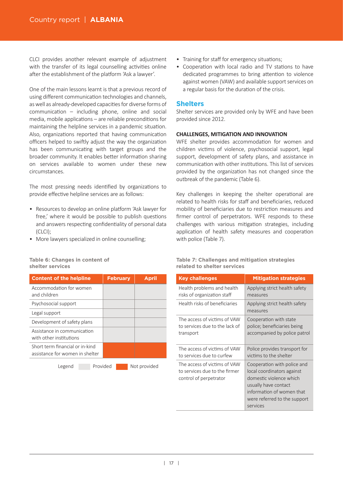CLCI provides another relevant example of adjustment with the transfer of its legal counselling activities online after the establishment of the platform 'Ask a lawyer'.

One of the main lessons learnt is that a previous record of using different communication technologies and channels, as well as already-developed capaci�es for diverse forms of  $comm$ unication – including phone, online and social media, mobile applications – are reliable preconditions for maintaining the helpline services in a pandemic situation. Also, organizations reported that having communication officers helped to swiftly adjust the way the organization has been communicating with target groups and the broader community. It enables better information sharing on services available to women under these new circumstances.

The most pressing needs identified by organizations to provide effective helpline services are as follows:

- Resources to develop an online platform 'Ask lawyer for free,' where it would be possible to publish questions and answers respecting confidentiality of personal data (CLCI);
- More lawyers specialized in online counselling;

#### **Table 6: Changes in content of shelter services**

| <b>Content of the helpline</b>                                     | <b>February</b>                 | <b>April</b>                                |
|--------------------------------------------------------------------|---------------------------------|---------------------------------------------|
| Accommodation for women<br>and children                            |                                 |                                             |
| Psychosocial support                                               |                                 |                                             |
| Legal support                                                      |                                 |                                             |
| Development of safety plans                                        |                                 |                                             |
| Assistance in communication<br>with other institutions             |                                 |                                             |
| Short term financial or in-kind<br>assistance for women in shelter |                                 |                                             |
| $\sim$                                                             | $\cdot$ $\cdot$ $\cdot$ $\cdot$ | $\cdot$ $\cdot$ $\cdot$ $\cdot$<br>$\cdots$ |

Legend Provided Not provided

- Training for staff for emergency situations;
- Cooperation with local radio and TV stations to have dedicated programmes to bring attention to violence against women (VAW) and available support services on a regular basis for the duration of the crisis.

## **Shelters**

Shelter services are provided only by WFE and have been provided since 2012.

## **CHALLENGES, MITIGATION AND INNOVATION**

WFE shelter provides accommodation for women and children victims of violence, psychosocial support, legal support, development of safety plans, and assistance in communication with other institutions. This list of services provided by the organization has not changed since the outbreak of the pandemic (Table 6).

Key challenges in keeping the shelter operational are related to health risks for staff and beneficiaries, reduced mobility of beneficiaries due to restriction measures and firmer control of perpetrators. WFE responds to these challenges with various mitigation strategies, including application of health safety measures and cooperation with police (Table 7).

#### **Table 7: Challenges and mitigation strategies related to shelter services**

| <b>Key challenges</b>                                                                   | <b>Mitigation strategies</b>                                                                                                                                                          |
|-----------------------------------------------------------------------------------------|---------------------------------------------------------------------------------------------------------------------------------------------------------------------------------------|
| Health problems and health                                                              | Applying strict health safety                                                                                                                                                         |
| risks of organization staff                                                             | measures                                                                                                                                                                              |
| Health risks of beneficiaries                                                           | Applying strict health safety<br>measures                                                                                                                                             |
| The access of victims of VAW                                                            | Cooperation with state                                                                                                                                                                |
| to services due to the lack of                                                          | police; beneficiaries being                                                                                                                                                           |
| transport                                                                               | accompanied by police patrol                                                                                                                                                          |
| The access of victims of VAW                                                            | Police provides transport for                                                                                                                                                         |
| to services due to curfew                                                               | victims to the shelter                                                                                                                                                                |
| The access of victims of VAW<br>to services due to the firmer<br>control of perpetrator | Cooperation with police and<br>local coordinators against<br>domestic violence which<br>usually have contact<br>information of women that<br>were referred to the support<br>services |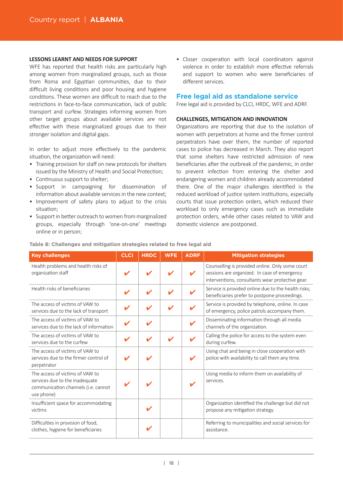#### **LESSONS LEARNT AND NEEDS FOR SUPPORT**

WFE has reported that health risks are particularly high among women from marginalized groups, such as those from Roma and Egyptian communities, due to their difficult living conditions and poor housing and hygiene conditions. These women are difficult to reach due to the restrictions in face-to-face communication, lack of public transport and curfew. Strategies informing women from other target groups about available services are not effective with these marginalized groups due to their stronger isolation and digital gaps.

In order to adjust more effectively to the pandemic situation, the organization will need:

- Training provision for staff on new protocols for shelters issued by the Ministry of Health and Social Protection;
- Continuous support to shelter;
- Support in campaigning for dissemination of information about available services in the new context:
- Improvement of safety plans to adjust to the crisis situation;
- Support in better outreach to women from marginalized groups, especially through 'one-on-one' meetings online or in person;

• Closer cooperation with local coordinators against violence in order to establish more effective referrals and support to women who were beneficiaries of different services.

### **Free legal aid as standalone service**

Free legal aid is provided by CLCI, HRDC, WFE and ADRF.

#### **CHALLENGES, MITIGATION AND INNOVATION**

Organizations are reporting that due to the isolation of women with perpetrators at home and the firmer control perpetrators have over them, the number of reported cases to police has decreased in March. They also report that some shelters have restricted admission of new beneficiaries after the outbreak of the pandemic, in order to prevent infection from entering the shelter and endangering women and children already accommodated there. One of the major challenges identified is the reduced workload of justice system institutions, especially courts that issue protection orders, which reduced their workload to only emergency cases such as immediate protection orders, while other cases related to VAW and domestic violence are postponed.

| <b>Key challenges</b>                                                                                                  | <b>CLCI</b> | <b>HRDC</b> | <b>WFE</b> | <b>ADRF</b> | <b>Mitigation strategies</b>                                                                                                                        |
|------------------------------------------------------------------------------------------------------------------------|-------------|-------------|------------|-------------|-----------------------------------------------------------------------------------------------------------------------------------------------------|
| Health problems and health risks of<br>organization staff                                                              |             |             |            | ✔           | Counselling is provided online. Only some court<br>sessions are organized. In case of emergency<br>interventions, consultants wear protective gear. |
| Health risks of beneficiaries                                                                                          |             |             |            |             | Service is provided online due to the health risks;<br>beneficiaries prefer to postpone proceedings.                                                |
| The access of victims of VAW to<br>services due to the lack of transport                                               |             |             |            |             | Service is provided by telephone, online. In case<br>of emergency, police patrols accompany them.                                                   |
| The access of victims of VAW to<br>services due to the lack of information                                             | V           |             |            |             | Disseminating information through all media<br>channels of the organization.                                                                        |
| The access of victims of VAW to<br>services due to the curfew                                                          |             | v           |            |             | Calling the police for access to the system even<br>during curfew.                                                                                  |
| The access of victims of VAW to<br>services due to the firmer control of<br>perpetrator                                |             |             |            | ✔           | Using chat and being in close cooperation with<br>police with availability to call them any time.                                                   |
| The access of victims of VAW to<br>services due to the inadequate<br>communication channels (i.e. cannot<br>use phone) |             |             |            |             | Using media to inform them on availability of<br>services.                                                                                          |
| Insufficient space for accommodating<br>victims                                                                        |             |             |            |             | Organization identified the challenge but did not<br>propose any mitigation strategy.                                                               |
| Difficulties in provision of food,<br>clothes, hygiene for beneficiaries                                               |             |             |            |             | Referring to municipalities and social services for<br>assistance.                                                                                  |

#### **Table 8: Challenges and mitigation strategies related to free legal aid**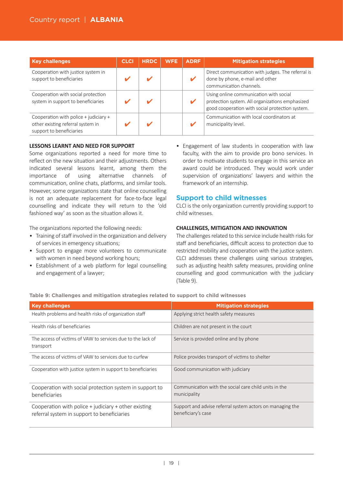| <b>Key challenges</b>                                                                                  | <b>CLCI</b> | <b>HRDC</b> | <b>WFE</b> | <b>ADRF</b> | <b>Mitigation strategies</b>                                                                                                                 |  |  |  |
|--------------------------------------------------------------------------------------------------------|-------------|-------------|------------|-------------|----------------------------------------------------------------------------------------------------------------------------------------------|--|--|--|
| Cooperation with justice system in<br>support to beneficiaries                                         |             |             |            |             | Direct communication with judges. The referral is<br>done by phone, e-mail and other<br>communication channels.                              |  |  |  |
| Cooperation with social protection<br>system in support to beneficiaries                               |             |             |            | v           | Using online communication with social<br>protection system. All organizations emphasized<br>good cooperation with social protection system. |  |  |  |
| Cooperation with police + judiciary +<br>other existing referral system in<br>support to beneficiaries |             |             |            |             | Communication with local coordinators at<br>municipality level.                                                                              |  |  |  |

#### **LESSONS LEARNT AND NEED FOR SUPPORT**

Some organizations reported a need for more time to reflect on the new situation and their adjustments. Others indicated several lessons learnt, among them the importance of using alternative channels of communication, online chats, platforms, and similar tools. However, some organizations state that online counselling is not an adequate replacement for face-to-face legal counselling and indicate they will return to the 'old fashioned way' as soon as the situation allows it.

The organizations reported the following needs:

- Training of staff involved in the organization and delivery of services in emergency situations;
- Support to engage more volunteers to communicate with women in need beyond working hours;
- Establishment of a web platform for legal counselling and engagement of a lawyer;

• Engagement of law students in cooperation with law faculty, with the aim to provide pro bono services. In order to motivate students to engage in this service an award could be introduced. They would work under supervision of organizations' lawyers and within the framework of an internship.

#### **Support to child witnesses**

CLCI is the only organization currently providing support to child witnesses.

#### **CHALLENGES, MITIGATION AND INNOVATION**

The challenges related to this service include health risks for staff and beneficiaries, difficult access to protection due to restricted mobility and cooperation with the justice system. CLCI addresses these challenges using various strategies, such as adjusting health safety measures, providing online counselling and good communication with the judiciary (Table 9).

**Table 9: Challenges and mitigation strategies related to support to child witnesses**

| <b>Key challenges</b>                                                                               | <b>Mitigation strategies</b>                                                    |
|-----------------------------------------------------------------------------------------------------|---------------------------------------------------------------------------------|
| Health problems and health risks of organization staff                                              | Applying strict health safety measures                                          |
| Health risks of beneficiaries                                                                       | Children are not present in the court                                           |
| The access of victims of VAW to services due to the lack of<br>transport                            | Service is provided online and by phone                                         |
| The access of victims of VAW to services due to curfew                                              | Police provides transport of victims to shelter                                 |
| Cooperation with justice system in support to beneficiaries                                         | Good communication with judiciary                                               |
| Cooperation with social protection system in support to<br>beneficiaries                            | Communication with the social care child units in the<br>municipality           |
| Cooperation with police + judiciary + other existing<br>referral system in support to beneficiaries | Support and advise referral system actors on managing the<br>beneficiary's case |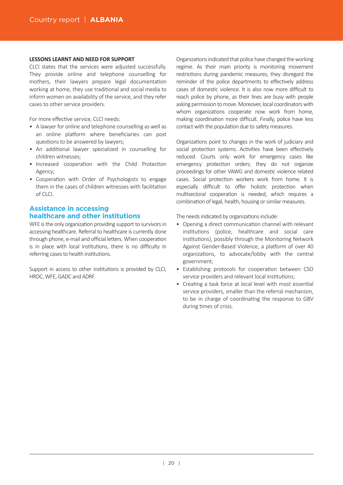#### **LESSONS LEARNT AND NEED FOR SUPPORT**

CLCI states that the services were adjusted successfully. They provide online and telephone counselling for mothers, their lawyers prepare legal documentation working at home, they use traditional and social media to inform women on availability of the service, and they refer cases to other service providers.

For more effective service, CLCI needs:

- A lawyer for online and telephone counselling as well as an online platform where beneficiaries can post questions to be answered by lawyers;
- An additional lawyer specialized in counselling for children witnesses;
- Increased cooperation with the Child Protection Agency;
- Cooperation with Order of Psychologists to engage them in the cases of children witnesses with facilitation  $of C|C|$

## **Assistance in accessing healthcare and other institutions**

WFE is the only organization providing support to survivors in accessing healthcare. Referral to healthcare is currently done through phone, e-mail and official letters. When cooperation is in place with local institutions, there is no difficulty in referring cases to health institutions.

Support in access to other institutions is provided by CLCI, HRDC, WFE, GADC and ADRF.

Organizations indicated that police have changed the working regime. As their main priority is monitoring movement restrictions during pandemic measures, they disregard the reminder of the police departments to effectively address cases of domestic violence. It is also now more difficult to reach police by phone, as their lines are busy with people asking permission to move. Moreover, local coordinators with whom organizations cooperate now work from home, making coordination more difficult. Finally, police have less contact with the population due to safety measures.

Organizations point to changes in the work of judiciary and social protection systems. Activities have been effectively reduced. Courts only work for emergency cases like emergency protection orders; they do not organize proceedings for other VAWG and domestic violence related cases. Social protection workers work from home. It is especially difficult to offer holistic protection when multisectoral cooperation is needed, which requires a combination of legal, health, housing or similar measures.

The needs indicated by organizations include:

- Opening a direct communication channel with relevant institutions (police, healthcare and social care institutions), possibly through the Monitoring Network Against Gender-Based Violence, a platform of over 40 organizations, to advocate/lobby with the central government;
- Establishing protocols for cooperation between CSO service providers and relevant local institutions:
- Creating a task force at local level with most essential service providers, smaller than the referral mechanism, to be in charge of coordinating the response to GBV during times of crisis.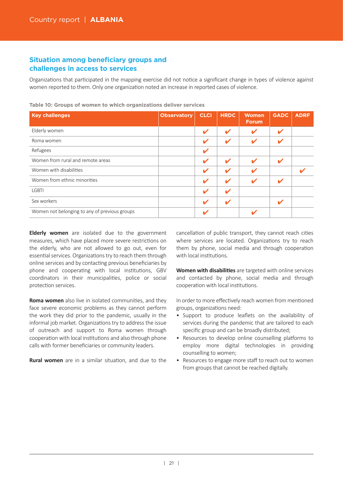## **Situation among beneficiary groups and challenges in access to services**

Organizations that participated in the mapping exercise did not notice a significant change in types of violence against women reported to them. Only one organization noted an increase in reported cases of violence.

| <b>Key challenges</b>                         | <b>Observatory</b> | <b>CLCI</b>  | <b>HRDC</b> | <b>Women</b><br>Forum.     | <b>GADC</b>                | <b>ADRF</b> |
|-----------------------------------------------|--------------------|--------------|-------------|----------------------------|----------------------------|-------------|
| Elderly women                                 |                    | $\mathbf{v}$ | V           | V                          | $\boldsymbol{\mathcal{L}}$ |             |
| Roma women                                    |                    | V            | V           | V                          | $\boldsymbol{\mathcal{U}}$ |             |
| Refugees                                      |                    | V            |             |                            |                            |             |
| Women from rural and remote areas             |                    | V            | V           | $\boldsymbol{\mathcal{L}}$ | $\boldsymbol{\mathcal{L}}$ |             |
| Women with disabilities                       |                    | V            | V           |                            |                            |             |
| Women from ethnic minorities                  |                    | $\mathbf{v}$ | V           | V                          | V                          |             |
| <b>LGBTI</b>                                  |                    | V            | V           |                            |                            |             |
| Sex workers                                   |                    | V            | V           |                            | ✔                          |             |
| Women not belonging to any of previous groups |                    | v            |             |                            |                            |             |

**Table 10: Groups of women to which organizations deliver services**

**Elderly women** are isolated due to the government measures, which have placed more severe restrictions on the elderly, who are not allowed to go out, even for essential services. Organizations try to reach them through online services and by contacting previous beneficiaries by phone and cooperating with local institutions, GBV coordinators in their municipali�es, police or social protection services.

**Roma women** also live in isolated communities, and they face severe economic problems as they cannot perform the work they did prior to the pandemic, usually in the informal job market. Organizations try to address the issue of outreach and support to Roma women through cooperation with local institutions and also through phone calls with former beneficiaries or community leaders.

**Rural women** are in a similar situation, and due to the

cancellation of public transport, they cannot reach cities where services are located. Organizations try to reach them by phone, social media and through cooperation with local institutions.

**Women with disabilities** are targeted with online services and contacted by phone, social media and through cooperation with local institutions.

In order to more effectively reach women from mentioned groups, organizations need:

- Support to produce leaflets on the availability of services during the pandemic that are tailored to each specific group and can be broadly distributed;
- Resources to develop online counselling platforms to employ more digital technologies in providing counselling to women;
- Resources to engage more staff to reach out to women from groups that cannot be reached digitally.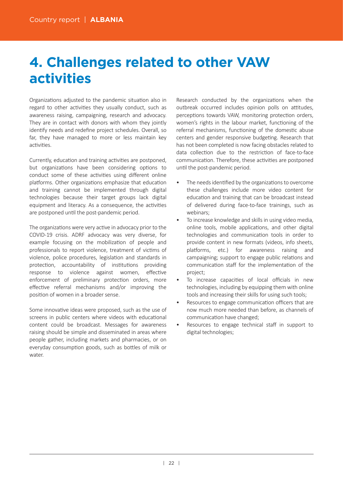# **4. Challenges related to other VAW activities**

Organizations adjusted to the pandemic situation also in regard to other activities they usually conduct, such as awareness raising, campaigning, research and advocacy. They are in contact with donors with whom they jointly identify needs and redefine project schedules. Overall, so far, they have managed to more or less maintain key activities

Currently, education and training activities are postponed, but organizations have been considering options to conduct some of these activities using different online platforms. Other organizations emphasize that education and training cannot be implemented through digital technologies because their target groups lack digital equipment and literacy. As a consequence, the activities are postponed until the post-pandemic period.

The organizations were very active in advocacy prior to the COVID-19 crisis. ADRF advocacy was very diverse, for example focusing on the mobilization of people and professionals to report violence, treatment of victims of violence, police procedures, legislation and standards in protection, accountability of institutions providing response to violence against women, effective enforcement of preliminary protection orders, more effective referral mechanisms and/or improving the posi�on of women in a broader sense.

Some innovative ideas were proposed, such as the use of screens in public centers where videos with educational content could be broadcast. Messages for awareness raising should be simple and disseminated in areas where people gather, including markets and pharmacies, or on everyday consumption goods, such as bottles of milk or water

Research conducted by the organizations when the outbreak occurred includes opinion polls on attitudes, perceptions towards VAW, monitoring protection orders, women's rights in the labour market, functioning of the referral mechanisms, functioning of the domestic abuse centers and gender responsive budgeting. Research that has not been completed is now facing obstacles related to data collection due to the restriction of face-to-face communication. Therefore, these activities are postponed until the post-pandemic period.

- The needs identified by the organizations to overcome these challenges include more video content for education and training that can be broadcast instead of delivered during face-to-face trainings, such as webinars;
- To increase knowledge and skills in using video media, online tools, mobile applications, and other digital technologies and communication tools in order to provide content in new formats (videos, info sheets, platforms, etc.) for awareness raising and campaigning; support to engage public relations and communication staff for the implementation of the project;
- To increase capacities of local officials in new technologies, including by equipping them with online tools and increasing their skills for using such tools;
- Resources to engage communication officers that are now much more needed than before, as channels of communication have changed:
- Resources to engage technical staff in support to digital technologies;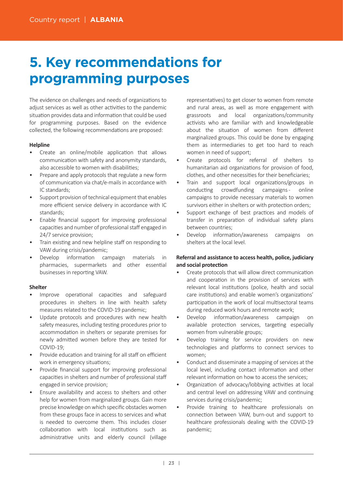# **5. Key recommendations for programming purposes**

The evidence on challenges and needs of organizations to adjust services as well as other activities to the pandemic situation provides data and information that could be used for programming purposes. Based on the evidence collected, the following recommendations are proposed:

### **Helpline**

- Create an online/mobile application that allows communication with safety and anonymity standards, also accessible to women with disabilities;
- Prepare and apply protocols that regulate a new form of communication via chat/e-mails in accordance with IC standards;
- Support provision of technical equipment that enables more efficient service delivery in accordance with IC standards;
- Enable financial support for improving professional capaci�es and number of professional staff engaged in 24/7 service provision;
- Train existing and new helpline staff on responding to VAW during crisis/pandemic;
- Develop information campaign materials in pharmacies, supermarkets and other essential businesses in reporting VAW.

### **Shelter**

- Improve operational capacities and safeguard procedures in shelters in line with health safety measures related to the COVID-19 pandemic;
- Update protocols and procedures with new health safety measures, including testing procedures prior to accommodation in shelters or separate premises for newly admi�ed women before they are tested for COVID-19;
- Provide education and training for all staff on efficient work in emergency situations;
- Provide financial support for improving professional capacities in shelters and number of professional staff engaged in service provision;
- Ensure availability and access to shelters and other help for women from marginalized groups. Gain more precise knowledge on which specific obstacles women from these groups face in access to services and what is needed to overcome them. This includes closer collaboration with local institutions such as administrative units and elderly council (village

representatives) to get closer to women from remote and rural areas, as well as more engagement with grassroots and local organizations/community activists who are familiar with and knowledgeable about the situation of women from different marginalized groups. This could be done by engaging them as intermediaries to get too hard to reach women in need of support;

- Create protocols for referral of shelters to humanitarian aid organizations for provision of food. clothes, and other necessities for their beneficiaries;
- Train and support local organizations/groups in conducting crowdfunding campaigns - online campaigns to provide necessary materials to women survivors either in shelters or with protection orders;
- Support exchange of best practices and models of transfer in preparation of individual safety plans between countries;
- Develop information/awareness campaigns on shelters at the local level.

## **Referral and assistance to access health, police, judiciary** and social protection

- Create protocols that will allow direct communication and cooperation in the provision of services with relevant local institutions (police, health and social care institutions) and enable women's organizations' participation in the work of local multisectoral teams during reduced work hours and remote work;
- Develop information/awareness campaign on available protection services, targeting especially women from vulnerable groups;
- Develop training for service providers on new technologies and platforms to connect services to women;
- Conduct and disseminate a mapping of services at the local level, including contact information and other relevant information on how to access the services:
- Organization of advocacy/lobbying activities at local and central level on addressing VAW and continuing services during crisis/pandemic;
- Provide training to healthcare professionals on connection between VAW, burn-out and support to healthcare professionals dealing with the COVID-19 pandemic;